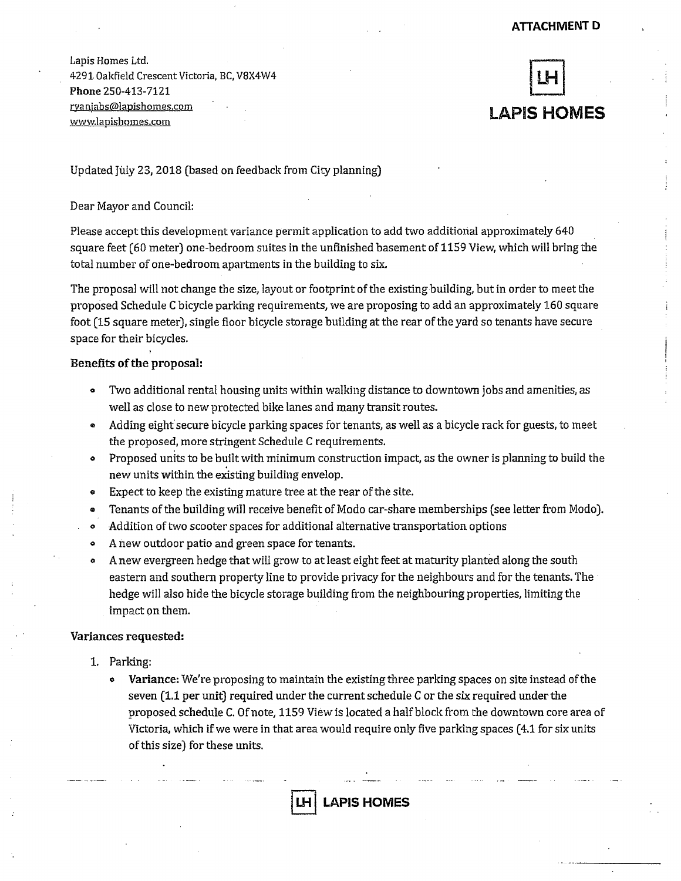**Lapis Homes Ltd. 4291. Oakfield Crescent Victoria, BC, V8X4W4 Phone 250-413-7121 rvaniahs@lapishomes.com • . www.lapishomes.com** 



Updated July 23,2018 (based on feedback from City planning) '

## Dear Mayor and Council:

Please accept this development variance permit application to add two additional approximately 640 square feet (60 meter) one-bedroom suites in the unfinished basement of 1159 View, which will bring the total number of one-bedroom apartments in the building to six.

The proposal will not change the size, layout or footprint of the existing building, but in order to meet the proposed Schedule C bicycle parking requirements, we are proposing to add an approximately 160 square foot (15 square meter), single floor bicycle storage building at the rear of the yard so tenants have secure space for their bicycles.

## Benefits of the proposal:

- ° Two additional rental housing units within walking distance to downtown jobs and amenities, as well as close to new protected bike lanes and many transit routes.
- » Adding eight secure bicycle parking spaces for tenants, as well as a bicycle rack for guests, to meet the proposed, more stringent Schedule C requirements,
- Proposed units to be built with minimum construction impact, as the owner is planning to build the new units within the existing building envelop.
- © Expect to keep the existing mature tree at the rear of the site.
- a Tenants of the building will receive benefit of Modo car-share memberships (see letter from Modo).
- . o Addition of two scooter spaces for additional alternative transportation options
- o A new outdoor patio and green space for tenants.
- a A new evergreen hedge that will grow to at least eight feet at maturity planted along the south eastern and southern property line to provide privacy for the neighbours and for the tenants. The hedge will also hide the bicycle storage building from the neighbouring properties, limiting the impact on them.

## Variances requested:

- 1. Parking:
	- e Variance: We're proposing to maintain the existing three parking spaces on site instead of the seven (1.1 per unit) required under the current schedule C or the six required under the proposed schedule C. Of note, 1159 View is located a half block from the downtown core area of Victoria, which if we were in that area would require only five parking spaces (4.1 for six units of this size) for these units.

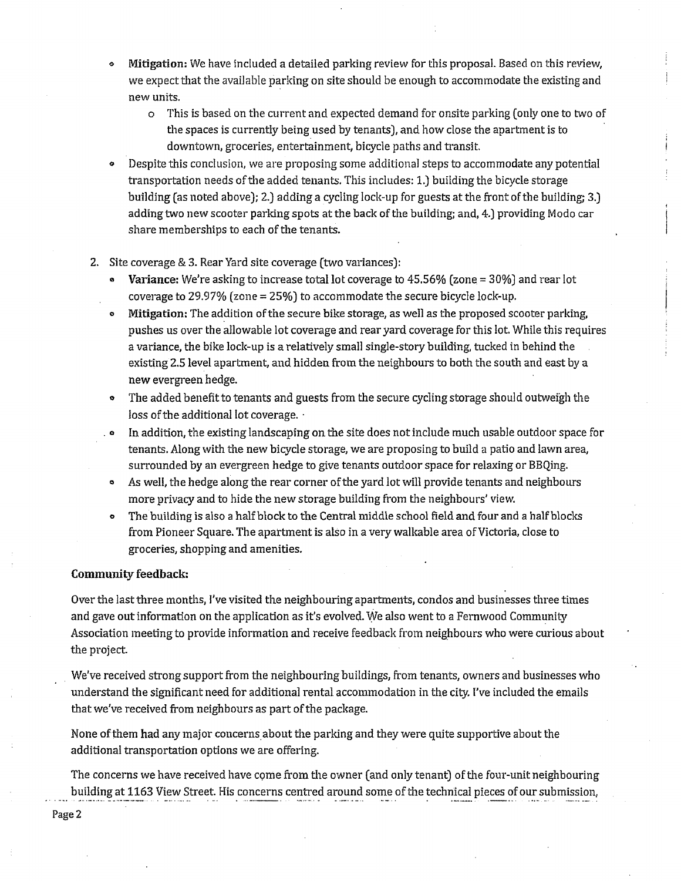- Mitigation: We have included a detailed parking review for this proposal. Based on this review, we expect that the available parking on site should be enough to accommodate the existing and new units.
	- o This is based on the current and expected demand for onsite parking (only one to two of the spaces is currently being used by tenants], and how close the apartment is to downtown, groceries, entertainment, bicycle paths and transit.
- Despite this conclusion, we are proposing some additional steps to accommodate any potential transportation needs of the added tenants. This includes: 1.) building the bicycle storage building (as noted above); 2.) adding a cycling lock-up for guests at the front of the building; 3.) adding two new scooter parking spots at the back of the building; and, 4.) providing Modo car share memberships to each of the tenants.
- 2. Site coverage & 3. Rear Yard site coverage (two variances):
	- **Variance:** We're asking to increase total lot coverage to  $45.56\%$  (zone =  $30\%$ ) and rear lot coverage to 29.97% (zone = 25%) to accommodate the secure bicycle lock-up.
	- ° Mitigation: The addition of the secure bike storage, as well as the proposed scooter parking, pushes us over the allowable lot coverage and rear yard coverage for this lot. While this requires a variance, the bike lock-up is a relatively small single-story building, tucked in behind the existing 2.5 level apartment, and hidden from the neighbours to both the south and east by a new evergreen hedge.
	- The added benefit to tenants and guests from the secure cycling storage should outweigh the loss of the additional lot coverage. •
	- . ° In addition, the existing landscaping on the site does not include much usable outdoor space for tenants. Along with the new bicycle storage, we are proposing to build a patio and lawn area, surrounded by an evergreen hedge to give tenants outdoor space for relaxing or BBQing.
	- ° As well, the hedge along the rear corner of the yard lot will provide tenants and neighbours more privacy and to hide the new storage building from the neighbours' view,
	- o The building is also a half block to the Central middle school field and four and a half blocks from Pioneer Square. The apartment is also in a very walkable area of Victoria, close to groceries, shopping and amenities.

## **Community feedback:**

Over the last three months, I've visited the neighbouring apartments, condos and businesses three times and gave out information on the application as it's evolved. We also went to a Fernwood Community Association meeting to provide information and receive feedback from neighbours who were curious about the project.

We've received strong support from the neighbouring buildings, from tenants, owners and businesses who understand the significant need for additional rental accommodation in the city. I've included the emails that we've received from neighbours as part of the package.

None of them had any major concerns about the parking and they were quite supportive about the additional transportation options we are offering.

The concerns we have received have come from the owner (and only tenant) of the four-unit neighbouring building at 1163 View Street. His concerns centred around some of the technical pieces of our submission,